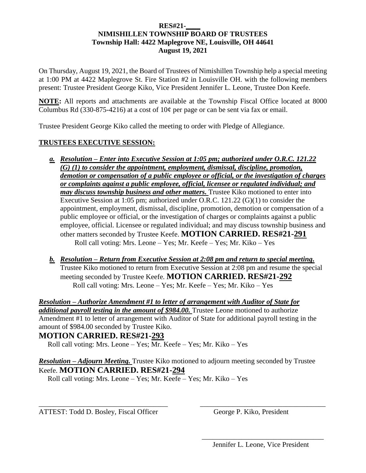## **RES#21-\_\_\_\_ NIMISHILLEN TOWNSHIP BOARD OF TRUSTEES Township Hall: 4422 Maplegrove NE, Louisville, OH 44641 August 19, 2021**

On Thursday, August 19, 2021, the Board of Trustees of Nimishillen Township help a special meeting at 1:00 PM at 4422 Maplegrove St. Fire Station #2 in Louisville OH. with the following members present: Trustee President George Kiko, Vice President Jennifer L. Leone, Trustee Don Keefe.

**NOTE:** All reports and attachments are available at the Township Fiscal Office located at 8000 Columbus Rd (330-875-4216) at a cost of  $10¢$  per page or can be sent via fax or email.

Trustee President George Kiko called the meeting to order with Pledge of Allegiance.

## **TRUSTEES EXECUTIVE SESSION:**

- *a. Resolution – Enter into Executive Session at 1:05 pm; authorized under O.R.C. 121.22 (G) (1) to consider the appointment, employment, dismissal, discipline, promotion, demotion or compensation of a public employee or official, or the investigation of charges or complaints against a public employee, official, licensee or regulated individual; and may discuss township business and other matters.* Trustee Kiko motioned to enter into Executive Session at 1:05 pm; authorized under O.R.C. 121.22 (G)(1) to consider the appointment, employment, dismissal, discipline, promotion, demotion or compensation of a public employee or official, or the investigation of charges or complaints against a public employee, official. Licensee or regulated individual; and may discuss township business and other matters seconded by Trustee Keefe. **MOTION CARRIED. RES#21-291** Roll call voting: Mrs. Leone – Yes; Mr. Keefe – Yes; Mr. Kiko – Yes
- *b. Resolution – Return from Executive Session at 2:08 pm and return to special meeting.* Trustee Kiko motioned to return from Executive Session at 2:08 pm and resume the special meeting seconded by Trustee Keefe. **MOTION CARRIED. RES#21-292** Roll call voting: Mrs. Leone – Yes; Mr. Keefe – Yes; Mr. Kiko – Yes

*Resolution – Authorize Amendment #1 to letter of arrangement with Auditor of State for additional payroll testing in the amount of \$984.00.* Trustee Leone motioned to authorize Amendment #1 to letter of arrangement with Auditor of State for additional payroll testing in the amount of \$984.00 seconded by Trustee Kiko.

## **MOTION CARRIED. RES#21-293**

Roll call voting: Mrs. Leone – Yes; Mr. Keefe – Yes; Mr. Kiko – Yes

*Resolution – Adjourn Meeting.* Trustee Kiko motioned to adjourn meeting seconded by Trustee Keefe. **MOTION CARRIED. RES#21-294**

\_\_\_\_\_\_\_\_\_\_\_\_\_\_\_\_\_\_\_\_\_\_\_\_\_\_\_\_\_\_\_\_\_\_\_\_ \_\_\_\_\_\_\_\_\_\_\_\_\_\_\_\_\_\_\_\_\_\_\_\_\_\_\_\_\_\_\_\_\_\_\_

 $\overline{\phantom{a}}$  , which is a set of the set of the set of the set of the set of the set of the set of the set of the set of the set of the set of the set of the set of the set of the set of the set of the set of the set of th

Roll call voting: Mrs. Leone – Yes; Mr. Keefe – Yes; Mr. Kiko – Yes

ATTEST: Todd D. Bosley, Fiscal Officer George P. Kiko, President